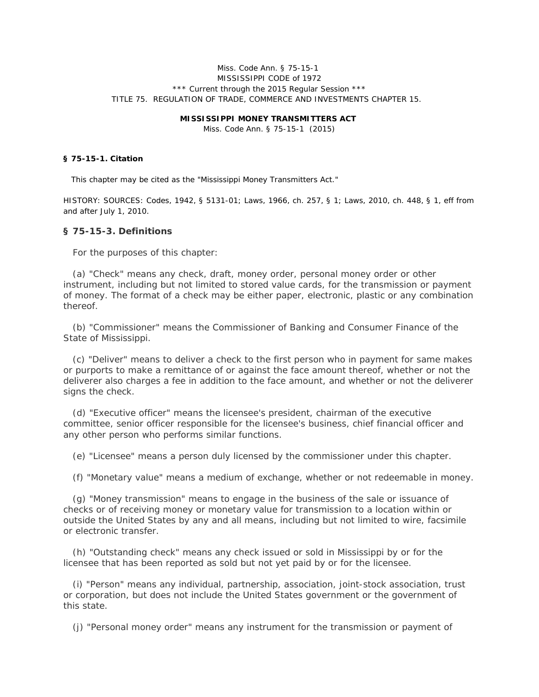### Miss. Code Ann. § 75-15-1 MISSISSIPPI CODE of 1972 \*\*\* Current through the 2015 Regular Session \*\*\* TITLE 75. REGULATION OF TRADE, COMMERCE AND INVESTMENTS CHAPTER 15.

#### **MISSISSIPPI MONEY TRANSMITTERS ACT**

Miss. Code Ann. § 75-15-1 (2015)

### **§ 75-15-1. Citation**

This chapter may be cited as the "Mississippi Money Transmitters Act."

HISTORY: SOURCES: Codes, 1942, § 5131-01; Laws, 1966, ch. 257, § 1; Laws, 2010, ch. 448, § 1, eff from and after July 1, 2010.

#### **§ 75-15-3. Definitions**

For the purposes of this chapter:

 (a) "Check" means any check, draft, money order, personal money order or other instrument, including but not limited to stored value cards, for the transmission or payment of money. The format of a check may be either paper, electronic, plastic or any combination thereof.

 (b) "Commissioner" means the Commissioner of Banking and Consumer Finance of the State of Mississippi.

 (c) "Deliver" means to deliver a check to the first person who in payment for same makes or purports to make a remittance of or against the face amount thereof, whether or not the deliverer also charges a fee in addition to the face amount, and whether or not the deliverer signs the check.

 (d) "Executive officer" means the licensee's president, chairman of the executive committee, senior officer responsible for the licensee's business, chief financial officer and any other person who performs similar functions.

(e) "Licensee" means a person duly licensed by the commissioner under this chapter.

(f) "Monetary value" means a medium of exchange, whether or not redeemable in money.

 (g) "Money transmission" means to engage in the business of the sale or issuance of checks or of receiving money or monetary value for transmission to a location within or outside the United States by any and all means, including but not limited to wire, facsimile or electronic transfer.

 (h) "Outstanding check" means any check issued or sold in Mississippi by or for the licensee that has been reported as sold but not yet paid by or for the licensee.

 (i) "Person" means any individual, partnership, association, joint-stock association, trust or corporation, but does not include the United States government or the government of this state.

(j) "Personal money order" means any instrument for the transmission or payment of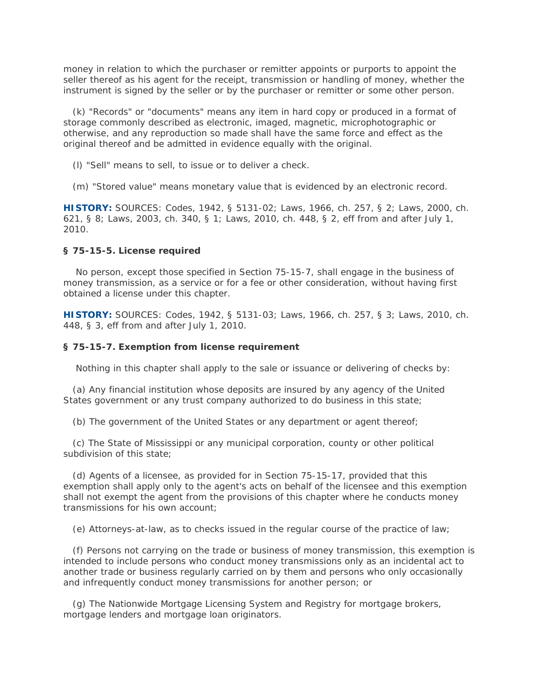money in relation to which the purchaser or remitter appoints or purports to appoint the seller thereof as his agent for the receipt, transmission or handling of money, whether the instrument is signed by the seller or by the purchaser or remitter or some other person.

 (k) "Records" or "documents" means any item in hard copy or produced in a format of storage commonly described as electronic, imaged, magnetic, microphotographic or otherwise, and any reproduction so made shall have the same force and effect as the original thereof and be admitted in evidence equally with the original.

(*l*) "Sell" means to sell, to issue or to deliver a check.

(m) "Stored value" means monetary value that is evidenced by an electronic record.

**HISTORY:** SOURCES: Codes, 1942, § 5131-02; Laws, 1966, ch. 257, § 2; Laws, 2000, ch. 621, § 8; Laws, 2003, ch. 340, § 1; Laws, 2010, ch. 448, § 2, eff from and after July 1, 2010.

#### **§ 75-15-5. License required**

 No person, except those specified in Section 75-15-7, shall engage in the business of money transmission, as a service or for a fee or other consideration, without having first obtained a license under this chapter.

**HISTORY:** SOURCES: Codes, 1942, § 5131-03; Laws, 1966, ch. 257, § 3; Laws, 2010, ch. 448, § 3, eff from and after July 1, 2010.

# **§ 75-15-7. Exemption from license requirement**

Nothing in this chapter shall apply to the sale or issuance or delivering of checks by:

 (a) Any financial institution whose deposits are insured by any agency of the United States government or any trust company authorized to do business in this state;

(b) The government of the United States or any department or agent thereof;

 (c) The State of Mississippi or any municipal corporation, county or other political subdivision of this state;

 (d) Agents of a licensee, as provided for in Section 75-15-17, provided that this exemption shall apply only to the agent's acts on behalf of the licensee and this exemption shall not exempt the agent from the provisions of this chapter where he conducts money transmissions for his own account;

(e) Attorneys-at-law, as to checks issued in the regular course of the practice of law;

 (f) Persons not carrying on the trade or business of money transmission, this exemption is intended to include persons who conduct money transmissions only as an incidental act to another trade or business regularly carried on by them and persons who only occasionally and infrequently conduct money transmissions for another person; or

 (g) The Nationwide Mortgage Licensing System and Registry for mortgage brokers, mortgage lenders and mortgage loan originators.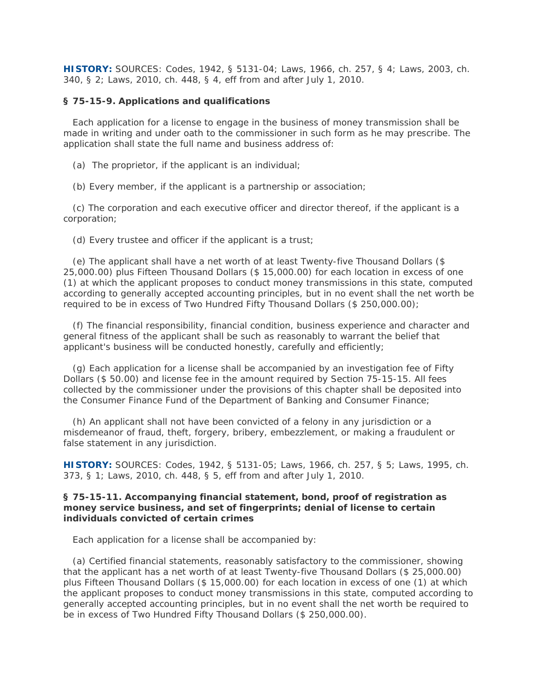**HISTORY:** SOURCES: Codes, 1942, § 5131-04; Laws, 1966, ch. 257, § 4; Laws, 2003, ch. 340, § 2; Laws, 2010, ch. 448, § 4, eff from and after July 1, 2010.

### **§ 75-15-9. Applications and qualifications**

 Each application for a license to engage in the business of money transmission shall be made in writing and under oath to the commissioner in such form as he may prescribe. The application shall state the full name and business address of:

- (a) The proprietor, if the applicant is an individual;
- (b) Every member, if the applicant is a partnership or association;

 (c) The corporation and each executive officer and director thereof, if the applicant is a corporation;

(d) Every trustee and officer if the applicant is a trust;

 (e) The applicant shall have a net worth of at least Twenty-five Thousand Dollars (\$ 25,000.00) plus Fifteen Thousand Dollars (\$ 15,000.00) for each location in excess of one (1) at which the applicant proposes to conduct money transmissions in this state, computed according to generally accepted accounting principles, but in no event shall the net worth be required to be in excess of Two Hundred Fifty Thousand Dollars (\$ 250,000.00);

 (f) The financial responsibility, financial condition, business experience and character and general fitness of the applicant shall be such as reasonably to warrant the belief that applicant's business will be conducted honestly, carefully and efficiently;

 (g) Each application for a license shall be accompanied by an investigation fee of Fifty Dollars (\$ 50.00) and license fee in the amount required by Section 75-15-15. All fees collected by the commissioner under the provisions of this chapter shall be deposited into the Consumer Finance Fund of the Department of Banking and Consumer Finance;

 (h) An applicant shall not have been convicted of a felony in any jurisdiction or a misdemeanor of fraud, theft, forgery, bribery, embezzlement, or making a fraudulent or false statement in any jurisdiction.

**HISTORY:** SOURCES: Codes, 1942, § 5131-05; Laws, 1966, ch. 257, § 5; Laws, 1995, ch. 373, § 1; Laws, 2010, ch. 448, § 5, eff from and after July 1, 2010.

## **§ 75-15-11. Accompanying financial statement, bond, proof of registration as money service business, and set of fingerprints; denial of license to certain individuals convicted of certain crimes**

Each application for a license shall be accompanied by:

 (a) Certified financial statements, reasonably satisfactory to the commissioner, showing that the applicant has a net worth of at least Twenty-five Thousand Dollars (\$ 25,000.00) plus Fifteen Thousand Dollars (\$ 15,000.00) for each location in excess of one (1) at which the applicant proposes to conduct money transmissions in this state, computed according to generally accepted accounting principles, but in no event shall the net worth be required to be in excess of Two Hundred Fifty Thousand Dollars (\$ 250,000.00).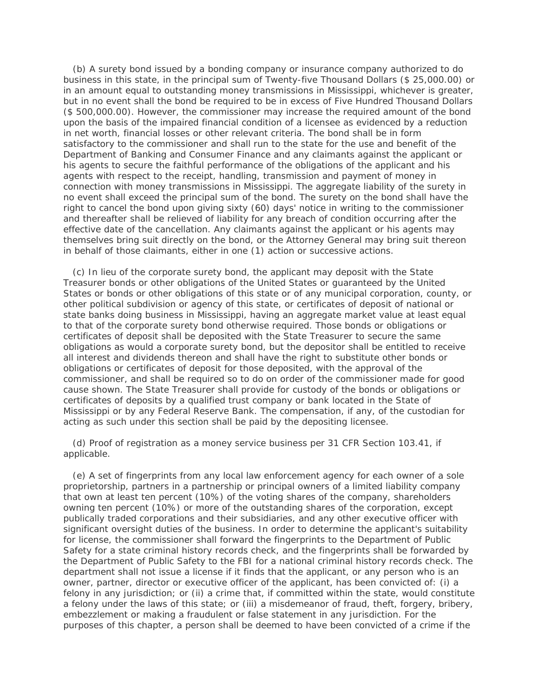(b) A surety bond issued by a bonding company or insurance company authorized to do business in this state, in the principal sum of Twenty-five Thousand Dollars (\$ 25,000.00) or in an amount equal to outstanding money transmissions in Mississippi, whichever is greater, but in no event shall the bond be required to be in excess of Five Hundred Thousand Dollars (\$ 500,000.00). However, the commissioner may increase the required amount of the bond upon the basis of the impaired financial condition of a licensee as evidenced by a reduction in net worth, financial losses or other relevant criteria. The bond shall be in form satisfactory to the commissioner and shall run to the state for the use and benefit of the Department of Banking and Consumer Finance and any claimants against the applicant or his agents to secure the faithful performance of the obligations of the applicant and his agents with respect to the receipt, handling, transmission and payment of money in connection with money transmissions in Mississippi. The aggregate liability of the surety in no event shall exceed the principal sum of the bond. The surety on the bond shall have the right to cancel the bond upon giving sixty (60) days' notice in writing to the commissioner and thereafter shall be relieved of liability for any breach of condition occurring after the effective date of the cancellation. Any claimants against the applicant or his agents may themselves bring suit directly on the bond, or the Attorney General may bring suit thereon in behalf of those claimants, either in one (1) action or successive actions.

 (c) In lieu of the corporate surety bond, the applicant may deposit with the State Treasurer bonds or other obligations of the United States or guaranteed by the United States or bonds or other obligations of this state or of any municipal corporation, county, or other political subdivision or agency of this state, or certificates of deposit of national or state banks doing business in Mississippi, having an aggregate market value at least equal to that of the corporate surety bond otherwise required. Those bonds or obligations or certificates of deposit shall be deposited with the State Treasurer to secure the same obligations as would a corporate surety bond, but the depositor shall be entitled to receive all interest and dividends thereon and shall have the right to substitute other bonds or obligations or certificates of deposit for those deposited, with the approval of the commissioner, and shall be required so to do on order of the commissioner made for good cause shown. The State Treasurer shall provide for custody of the bonds or obligations or certificates of deposits by a qualified trust company or bank located in the State of Mississippi or by any Federal Reserve Bank. The compensation, if any, of the custodian for acting as such under this section shall be paid by the depositing licensee.

 (d) Proof of registration as a money service business per 31 CFR Section 103.41, if applicable.

 (e) A set of fingerprints from any local law enforcement agency for each owner of a sole proprietorship, partners in a partnership or principal owners of a limited liability company that own at least ten percent (10%) of the voting shares of the company, shareholders owning ten percent (10%) or more of the outstanding shares of the corporation, except publically traded corporations and their subsidiaries, and any other executive officer with significant oversight duties of the business. In order to determine the applicant's suitability for license, the commissioner shall forward the fingerprints to the Department of Public Safety for a state criminal history records check, and the fingerprints shall be forwarded by the Department of Public Safety to the FBI for a national criminal history records check. The department shall not issue a license if it finds that the applicant, or any person who is an owner, partner, director or executive officer of the applicant, has been convicted of: (i) a felony in any jurisdiction; or (ii) a crime that, if committed within the state, would constitute a felony under the laws of this state; or (iii) a misdemeanor of fraud, theft, forgery, bribery, embezzlement or making a fraudulent or false statement in any jurisdiction. For the purposes of this chapter, a person shall be deemed to have been convicted of a crime if the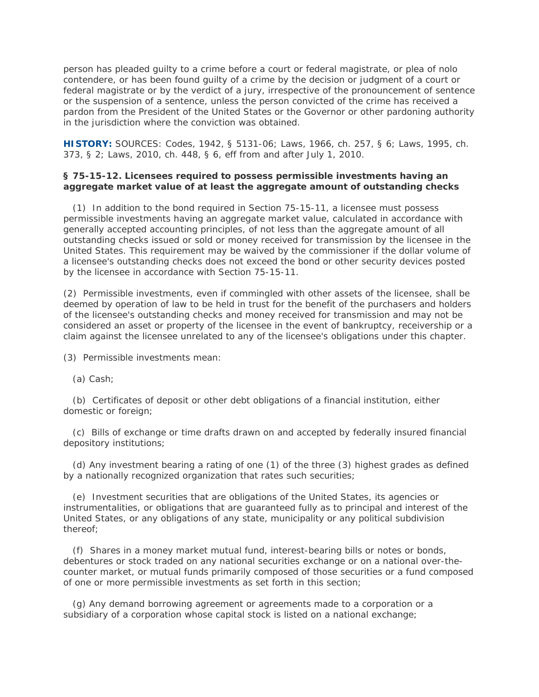person has pleaded guilty to a crime before a court or federal magistrate, or plea of nolo contendere, or has been found guilty of a crime by the decision or judgment of a court or federal magistrate or by the verdict of a jury, irrespective of the pronouncement of sentence or the suspension of a sentence, unless the person convicted of the crime has received a pardon from the President of the United States or the Governor or other pardoning authority in the jurisdiction where the conviction was obtained.

**HISTORY:** SOURCES: Codes, 1942, § 5131-06; Laws, 1966, ch. 257, § 6; Laws, 1995, ch. 373, § 2; Laws, 2010, ch. 448, § 6, eff from and after July 1, 2010.

## **§ 75-15-12. Licensees required to possess permissible investments having an aggregate market value of at least the aggregate amount of outstanding checks**

 (1) In addition to the bond required in Section 75-15-11, a licensee must possess permissible investments having an aggregate market value, calculated in accordance with generally accepted accounting principles, of not less than the aggregate amount of all outstanding checks issued or sold or money received for transmission by the licensee in the United States. This requirement may be waived by the commissioner if the dollar volume of a licensee's outstanding checks does not exceed the bond or other security devices posted by the licensee in accordance with Section 75-15-11.

(2) Permissible investments, even if commingled with other assets of the licensee, shall be deemed by operation of law to be held in trust for the benefit of the purchasers and holders of the licensee's outstanding checks and money received for transmission and may not be considered an asset or property of the licensee in the event of bankruptcy, receivership or a claim against the licensee unrelated to any of the licensee's obligations under this chapter.

(3) Permissible investments mean:

(a) Cash;

 (b) Certificates of deposit or other debt obligations of a financial institution, either domestic or foreign;

 (c) Bills of exchange or time drafts drawn on and accepted by federally insured financial depository institutions;

 (d) Any investment bearing a rating of one (1) of the three (3) highest grades as defined by a nationally recognized organization that rates such securities;

 (e) Investment securities that are obligations of the United States, its agencies or instrumentalities, or obligations that are guaranteed fully as to principal and interest of the United States, or any obligations of any state, municipality or any political subdivision thereof;

 (f) Shares in a money market mutual fund, interest-bearing bills or notes or bonds, debentures or stock traded on any national securities exchange or on a national over-thecounter market, or mutual funds primarily composed of those securities or a fund composed of one or more permissible investments as set forth in this section;

 (g) Any demand borrowing agreement or agreements made to a corporation or a subsidiary of a corporation whose capital stock is listed on a national exchange;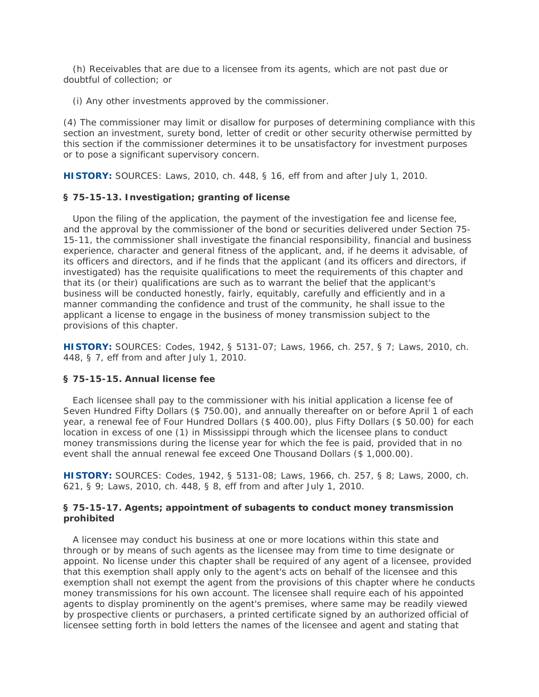(h) Receivables that are due to a licensee from its agents, which are not past due or doubtful of collection; or

(i) Any other investments approved by the commissioner.

(4) The commissioner may limit or disallow for purposes of determining compliance with this section an investment, surety bond, letter of credit or other security otherwise permitted by this section if the commissioner determines it to be unsatisfactory for investment purposes or to pose a significant supervisory concern.

**HISTORY:** SOURCES: Laws, 2010, ch. 448, § 16, eff from and after July 1, 2010.

## **§ 75-15-13. Investigation; granting of license**

 Upon the filing of the application, the payment of the investigation fee and license fee, and the approval by the commissioner of the bond or securities delivered under Section 75- 15-11, the commissioner shall investigate the financial responsibility, financial and business experience, character and general fitness of the applicant, and, if he deems it advisable, of its officers and directors, and if he finds that the applicant (and its officers and directors, if investigated) has the requisite qualifications to meet the requirements of this chapter and that its (or their) qualifications are such as to warrant the belief that the applicant's business will be conducted honestly, fairly, equitably, carefully and efficiently and in a manner commanding the confidence and trust of the community, he shall issue to the applicant a license to engage in the business of money transmission subject to the provisions of this chapter.

**HISTORY:** SOURCES: Codes, 1942, § 5131-07; Laws, 1966, ch. 257, § 7; Laws, 2010, ch. 448, § 7, eff from and after July 1, 2010.

## **§ 75-15-15. Annual license fee**

 Each licensee shall pay to the commissioner with his initial application a license fee of Seven Hundred Fifty Dollars (\$ 750.00), and annually thereafter on or before April 1 of each year, a renewal fee of Four Hundred Dollars (\$ 400.00), plus Fifty Dollars (\$ 50.00) for each location in excess of one (1) in Mississippi through which the licensee plans to conduct money transmissions during the license year for which the fee is paid, provided that in no event shall the annual renewal fee exceed One Thousand Dollars (\$ 1,000.00).

**HISTORY:** SOURCES: Codes, 1942, § 5131-08; Laws, 1966, ch. 257, § 8; Laws, 2000, ch. 621, § 9; Laws, 2010, ch. 448, § 8, eff from and after July 1, 2010.

## **§ 75-15-17. Agents; appointment of subagents to conduct money transmission prohibited**

 A licensee may conduct his business at one or more locations within this state and through or by means of such agents as the licensee may from time to time designate or appoint. No license under this chapter shall be required of any agent of a licensee, provided that this exemption shall apply only to the agent's acts on behalf of the licensee and this exemption shall not exempt the agent from the provisions of this chapter where he conducts money transmissions for his own account. The licensee shall require each of his appointed agents to display prominently on the agent's premises, where same may be readily viewed by prospective clients or purchasers, a printed certificate signed by an authorized official of licensee setting forth in bold letters the names of the licensee and agent and stating that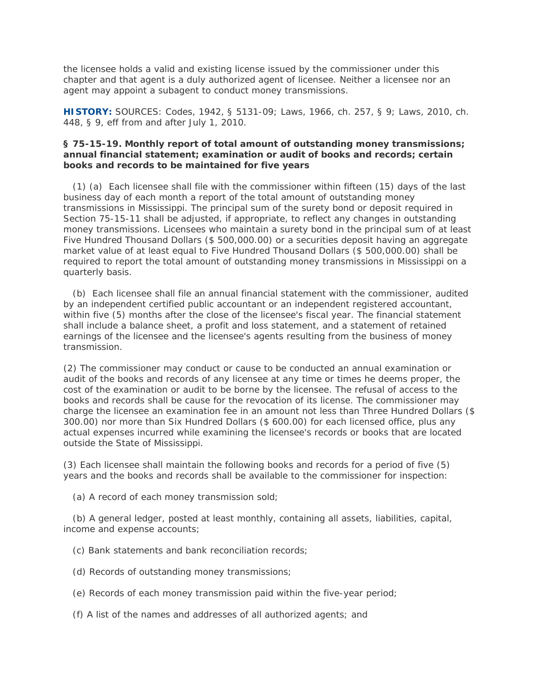the licensee holds a valid and existing license issued by the commissioner under this chapter and that agent is a duly authorized agent of licensee. Neither a licensee nor an agent may appoint a subagent to conduct money transmissions.

**HISTORY:** SOURCES: Codes, 1942, § 5131-09; Laws, 1966, ch. 257, § 9; Laws, 2010, ch. 448, § 9, eff from and after July 1, 2010.

## **§ 75-15-19. Monthly report of total amount of outstanding money transmissions; annual financial statement; examination or audit of books and records; certain books and records to be maintained for five years**

 (1) (a) Each licensee shall file with the commissioner within fifteen (15) days of the last business day of each month a report of the total amount of outstanding money transmissions in Mississippi. The principal sum of the surety bond or deposit required in Section 75-15-11 shall be adjusted, if appropriate, to reflect any changes in outstanding money transmissions. Licensees who maintain a surety bond in the principal sum of at least Five Hundred Thousand Dollars (\$ 500,000.00) or a securities deposit having an aggregate market value of at least equal to Five Hundred Thousand Dollars (\$ 500,000.00) shall be required to report the total amount of outstanding money transmissions in Mississippi on a quarterly basis.

 (b) Each licensee shall file an annual financial statement with the commissioner, audited by an independent certified public accountant or an independent registered accountant, within five (5) months after the close of the licensee's fiscal year. The financial statement shall include a balance sheet, a profit and loss statement, and a statement of retained earnings of the licensee and the licensee's agents resulting from the business of money transmission.

(2) The commissioner may conduct or cause to be conducted an annual examination or audit of the books and records of any licensee at any time or times he deems proper, the cost of the examination or audit to be borne by the licensee. The refusal of access to the books and records shall be cause for the revocation of its license. The commissioner may charge the licensee an examination fee in an amount not less than Three Hundred Dollars (\$ 300.00) nor more than Six Hundred Dollars (\$ 600.00) for each licensed office, plus any actual expenses incurred while examining the licensee's records or books that are located outside the State of Mississippi.

(3) Each licensee shall maintain the following books and records for a period of five (5) years and the books and records shall be available to the commissioner for inspection:

(a) A record of each money transmission sold;

 (b) A general ledger, posted at least monthly, containing all assets, liabilities, capital, income and expense accounts;

- (c) Bank statements and bank reconciliation records;
- (d) Records of outstanding money transmissions;
- (e) Records of each money transmission paid within the five-year period;
- (f) A list of the names and addresses of all authorized agents; and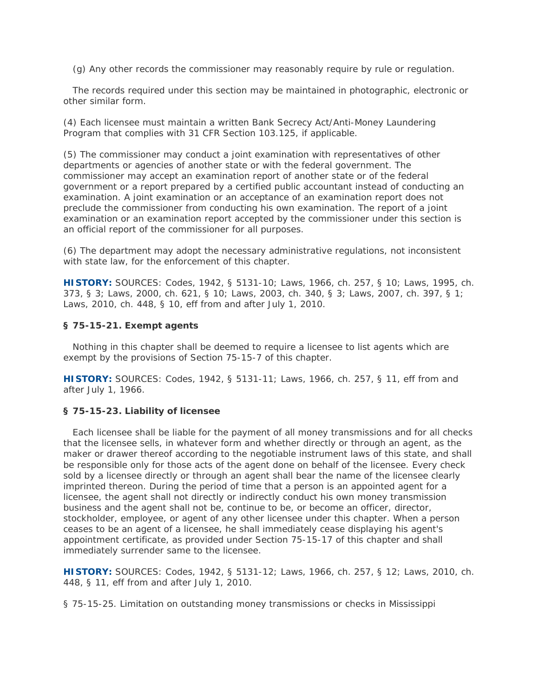(g) Any other records the commissioner may reasonably require by rule or regulation.

 The records required under this section may be maintained in photographic, electronic or other similar form.

(4) Each licensee must maintain a written Bank Secrecy Act/Anti-Money Laundering Program that complies with 31 CFR Section 103.125, if applicable.

(5) The commissioner may conduct a joint examination with representatives of other departments or agencies of another state or with the federal government. The commissioner may accept an examination report of another state or of the federal government or a report prepared by a certified public accountant instead of conducting an examination. A joint examination or an acceptance of an examination report does not preclude the commissioner from conducting his own examination. The report of a joint examination or an examination report accepted by the commissioner under this section is an official report of the commissioner for all purposes.

(6) The department may adopt the necessary administrative regulations, not inconsistent with state law, for the enforcement of this chapter.

**HISTORY:** SOURCES: Codes, 1942, § 5131-10; Laws, 1966, ch. 257, § 10; Laws, 1995, ch. 373, § 3; Laws, 2000, ch. 621, § 10; Laws, 2003, ch. 340, § 3; Laws, 2007, ch. 397, § 1; Laws, 2010, ch. 448, § 10, eff from and after July 1, 2010.

## **§ 75-15-21. Exempt agents**

 Nothing in this chapter shall be deemed to require a licensee to list agents which are exempt by the provisions of Section 75-15-7 of this chapter.

**HISTORY:** SOURCES: Codes, 1942, § 5131-11; Laws, 1966, ch. 257, § 11, eff from and after July 1, 1966.

## **§ 75-15-23. Liability of licensee**

 Each licensee shall be liable for the payment of all money transmissions and for all checks that the licensee sells, in whatever form and whether directly or through an agent, as the maker or drawer thereof according to the negotiable instrument laws of this state, and shall be responsible only for those acts of the agent done on behalf of the licensee. Every check sold by a licensee directly or through an agent shall bear the name of the licensee clearly imprinted thereon. During the period of time that a person is an appointed agent for a licensee, the agent shall not directly or indirectly conduct his own money transmission business and the agent shall not be, continue to be, or become an officer, director, stockholder, employee, or agent of any other licensee under this chapter. When a person ceases to be an agent of a licensee, he shall immediately cease displaying his agent's appointment certificate, as provided under Section 75-15-17 of this chapter and shall immediately surrender same to the licensee.

**HISTORY:** SOURCES: Codes, 1942, § 5131-12; Laws, 1966, ch. 257, § 12; Laws, 2010, ch. 448, § 11, eff from and after July 1, 2010.

§ 75-15-25. Limitation on outstanding money transmissions or checks in Mississippi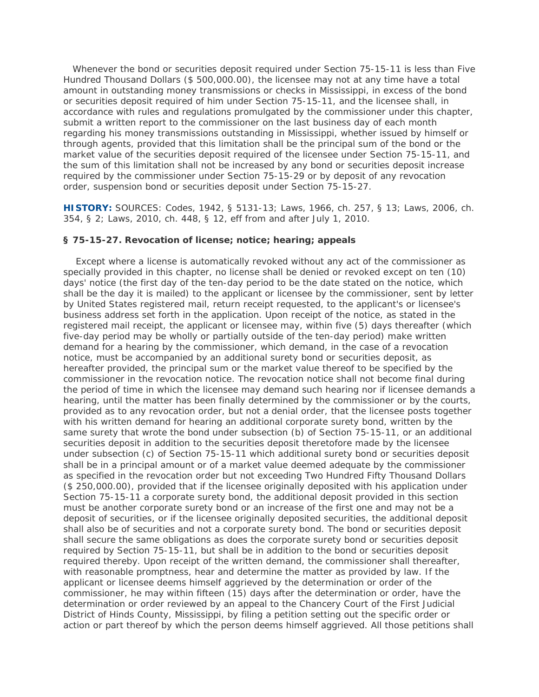Whenever the bond or securities deposit required under Section 75-15-11 is less than Five Hundred Thousand Dollars (\$ 500,000.00), the licensee may not at any time have a total amount in outstanding money transmissions or checks in Mississippi, in excess of the bond or securities deposit required of him under Section 75-15-11, and the licensee shall, in accordance with rules and regulations promulgated by the commissioner under this chapter, submit a written report to the commissioner on the last business day of each month regarding his money transmissions outstanding in Mississippi, whether issued by himself or through agents, provided that this limitation shall be the principal sum of the bond or the market value of the securities deposit required of the licensee under Section 75-15-11, and the sum of this limitation shall not be increased by any bond or securities deposit increase required by the commissioner under Section 75-15-29 or by deposit of any revocation order, suspension bond or securities deposit under Section 75-15-27.

**HISTORY:** SOURCES: Codes, 1942, § 5131-13; Laws, 1966, ch. 257, § 13; Laws, 2006, ch. 354, § 2; Laws, 2010, ch. 448, § 12, eff from and after July 1, 2010.

#### **§ 75-15-27. Revocation of license; notice; hearing; appeals**

 Except where a license is automatically revoked without any act of the commissioner as specially provided in this chapter, no license shall be denied or revoked except on ten (10) days' notice (the first day of the ten-day period to be the date stated on the notice, which shall be the day it is mailed) to the applicant or licensee by the commissioner, sent by letter by United States registered mail, return receipt requested, to the applicant's or licensee's business address set forth in the application. Upon receipt of the notice, as stated in the registered mail receipt, the applicant or licensee may, within five (5) days thereafter (which five-day period may be wholly or partially outside of the ten-day period) make written demand for a hearing by the commissioner, which demand, in the case of a revocation notice, must be accompanied by an additional surety bond or securities deposit, as hereafter provided, the principal sum or the market value thereof to be specified by the commissioner in the revocation notice. The revocation notice shall not become final during the period of time in which the licensee may demand such hearing nor if licensee demands a hearing, until the matter has been finally determined by the commissioner or by the courts, provided as to any revocation order, but not a denial order, that the licensee posts together with his written demand for hearing an additional corporate surety bond, written by the same surety that wrote the bond under subsection (b) of Section 75-15-11, or an additional securities deposit in addition to the securities deposit theretofore made by the licensee under subsection (c) of Section 75-15-11 which additional surety bond or securities deposit shall be in a principal amount or of a market value deemed adequate by the commissioner as specified in the revocation order but not exceeding Two Hundred Fifty Thousand Dollars (\$ 250,000.00), provided that if the licensee originally deposited with his application under Section 75-15-11 a corporate surety bond, the additional deposit provided in this section must be another corporate surety bond or an increase of the first one and may not be a deposit of securities, or if the licensee originally deposited securities, the additional deposit shall also be of securities and not a corporate surety bond. The bond or securities deposit shall secure the same obligations as does the corporate surety bond or securities deposit required by Section 75-15-11, but shall be in addition to the bond or securities deposit required thereby. Upon receipt of the written demand, the commissioner shall thereafter, with reasonable promptness, hear and determine the matter as provided by law. If the applicant or licensee deems himself aggrieved by the determination or order of the commissioner, he may within fifteen (15) days after the determination or order, have the determination or order reviewed by an appeal to the Chancery Court of the First Judicial District of Hinds County, Mississippi, by filing a petition setting out the specific order or action or part thereof by which the person deems himself aggrieved. All those petitions shall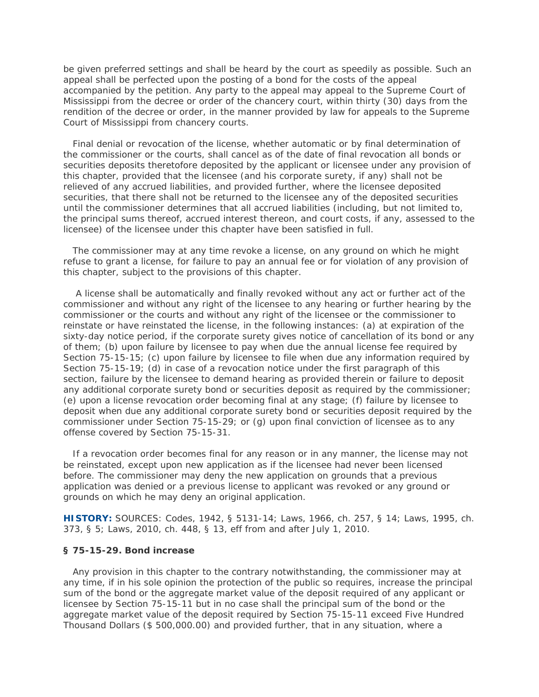be given preferred settings and shall be heard by the court as speedily as possible. Such an appeal shall be perfected upon the posting of a bond for the costs of the appeal accompanied by the petition. Any party to the appeal may appeal to the Supreme Court of Mississippi from the decree or order of the chancery court, within thirty (30) days from the rendition of the decree or order, in the manner provided by law for appeals to the Supreme Court of Mississippi from chancery courts.

 Final denial or revocation of the license, whether automatic or by final determination of the commissioner or the courts, shall cancel as of the date of final revocation all bonds or securities deposits theretofore deposited by the applicant or licensee under any provision of this chapter, provided that the licensee (and his corporate surety, if any) shall not be relieved of any accrued liabilities, and provided further, where the licensee deposited securities, that there shall not be returned to the licensee any of the deposited securities until the commissioner determines that all accrued liabilities (including, but not limited to, the principal sums thereof, accrued interest thereon, and court costs, if any, assessed to the licensee) of the licensee under this chapter have been satisfied in full.

 The commissioner may at any time revoke a license, on any ground on which he might refuse to grant a license, for failure to pay an annual fee or for violation of any provision of this chapter, subject to the provisions of this chapter.

 A license shall be automatically and finally revoked without any act or further act of the commissioner and without any right of the licensee to any hearing or further hearing by the commissioner or the courts and without any right of the licensee or the commissioner to reinstate or have reinstated the license, in the following instances: (a) at expiration of the sixty-day notice period, if the corporate surety gives notice of cancellation of its bond or any of them; (b) upon failure by licensee to pay when due the annual license fee required by Section 75-15-15; (c) upon failure by licensee to file when due any information required by Section 75-15-19; (d) in case of a revocation notice under the first paragraph of this section, failure by the licensee to demand hearing as provided therein or failure to deposit any additional corporate surety bond or securities deposit as required by the commissioner; (e) upon a license revocation order becoming final at any stage; (f) failure by licensee to deposit when due any additional corporate surety bond or securities deposit required by the commissioner under Section 75-15-29; or (g) upon final conviction of licensee as to any offense covered by Section 75-15-31.

 If a revocation order becomes final for any reason or in any manner, the license may not be reinstated, except upon new application as if the licensee had never been licensed before. The commissioner may deny the new application on grounds that a previous application was denied or a previous license to applicant was revoked or any ground or grounds on which he may deny an original application.

**HISTORY:** SOURCES: Codes, 1942, § 5131-14; Laws, 1966, ch. 257, § 14; Laws, 1995, ch. 373, § 5; Laws, 2010, ch. 448, § 13, eff from and after July 1, 2010.

### **§ 75-15-29. Bond increase**

 Any provision in this chapter to the contrary notwithstanding, the commissioner may at any time, if in his sole opinion the protection of the public so requires, increase the principal sum of the bond or the aggregate market value of the deposit required of any applicant or licensee by Section 75-15-11 but in no case shall the principal sum of the bond or the aggregate market value of the deposit required by Section 75-15-11 exceed Five Hundred Thousand Dollars (\$ 500,000.00) and provided further, that in any situation, where a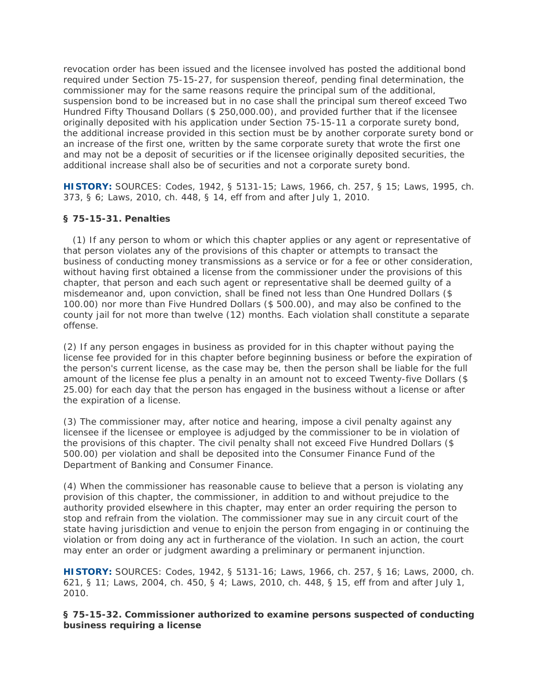revocation order has been issued and the licensee involved has posted the additional bond required under Section 75-15-27, for suspension thereof, pending final determination, the commissioner may for the same reasons require the principal sum of the additional, suspension bond to be increased but in no case shall the principal sum thereof exceed Two Hundred Fifty Thousand Dollars (\$ 250,000.00), and provided further that if the licensee originally deposited with his application under Section 75-15-11 a corporate surety bond, the additional increase provided in this section must be by another corporate surety bond or an increase of the first one, written by the same corporate surety that wrote the first one and may not be a deposit of securities or if the licensee originally deposited securities, the additional increase shall also be of securities and not a corporate surety bond.

**HISTORY:** SOURCES: Codes, 1942, § 5131-15; Laws, 1966, ch. 257, § 15; Laws, 1995, ch. 373, § 6; Laws, 2010, ch. 448, § 14, eff from and after July 1, 2010.

## **§ 75-15-31. Penalties**

 (1) If any person to whom or which this chapter applies or any agent or representative of that person violates any of the provisions of this chapter or attempts to transact the business of conducting money transmissions as a service or for a fee or other consideration, without having first obtained a license from the commissioner under the provisions of this chapter, that person and each such agent or representative shall be deemed guilty of a misdemeanor and, upon conviction, shall be fined not less than One Hundred Dollars (\$ 100.00) nor more than Five Hundred Dollars (\$ 500.00), and may also be confined to the county jail for not more than twelve (12) months. Each violation shall constitute a separate offense.

(2) If any person engages in business as provided for in this chapter without paying the license fee provided for in this chapter before beginning business or before the expiration of the person's current license, as the case may be, then the person shall be liable for the full amount of the license fee plus a penalty in an amount not to exceed Twenty-five Dollars (\$ 25.00) for each day that the person has engaged in the business without a license or after the expiration of a license.

(3) The commissioner may, after notice and hearing, impose a civil penalty against any licensee if the licensee or employee is adjudged by the commissioner to be in violation of the provisions of this chapter. The civil penalty shall not exceed Five Hundred Dollars (\$ 500.00) per violation and shall be deposited into the Consumer Finance Fund of the Department of Banking and Consumer Finance.

(4) When the commissioner has reasonable cause to believe that a person is violating any provision of this chapter, the commissioner, in addition to and without prejudice to the authority provided elsewhere in this chapter, may enter an order requiring the person to stop and refrain from the violation. The commissioner may sue in any circuit court of the state having jurisdiction and venue to enjoin the person from engaging in or continuing the violation or from doing any act in furtherance of the violation. In such an action, the court may enter an order or judgment awarding a preliminary or permanent injunction.

**HISTORY:** SOURCES: Codes, 1942, § 5131-16; Laws, 1966, ch. 257, § 16; Laws, 2000, ch. 621, § 11; Laws, 2004, ch. 450, § 4; Laws, 2010, ch. 448, § 15, eff from and after July 1, 2010.

**§ 75-15-32. Commissioner authorized to examine persons suspected of conducting business requiring a license**